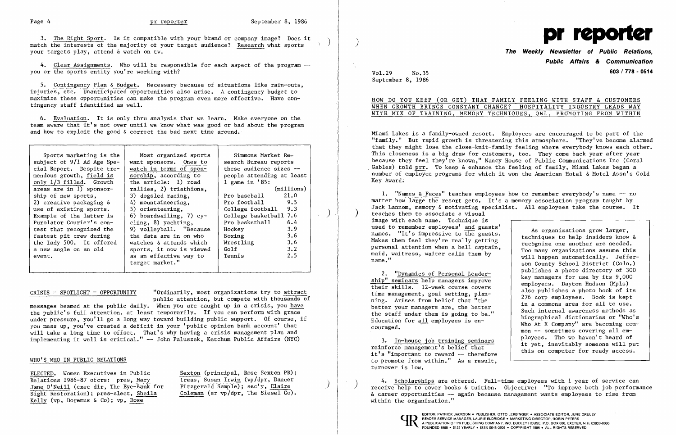3. The Right Sport. Is it compatible with your brand or company image? Does it match the interests of the majority of your target audience? Research what sports your targets play, attend & watch on tv.

4. Clear Assignments. Who will be responsible for each aspect of the program -you or the sports entity you're working with?

5. Contingency Plan & Budget. Necessary because of situations like rain-outs, injuries, etc. Unanticipated opportunities also arise. A contingency budget to maximize these opportunities can make the program even more effective. Have contingency staff identified as well.

6. Evaluation. It is only thru analysis that we learn. Make everyone on the team aware that it's not over until we know what was good or bad about the program and how to exploit the good & correct the bad next time around.

| Sports marketing is the<br>Most organized sports<br>Simmons Market Re <del>.</del><br>subject of $9/1$ Ad Age Spe-<br>want sponsors. Ones to<br>search Bureau reports<br>these audience sizes --<br>cial Report. Despite tre-<br>watch in terms of spon-<br>mendous growth, field is<br>sorship, according to<br>people attending at least<br>1 game in $'85$ :<br>the article: 1) road<br>only 1/3 filled. Growth<br>areas are in 1) sponsor-<br>(millions)<br>rallies, 2) triathions,<br>21.0<br>ship of new sports,<br>3) dogsled racing,<br>Pro baseball<br>Pro football 9.5<br>4) mountaineering,<br>2) creative packaging $\delta$<br>College football 9.3<br>use of existing sports.<br>5) orienteering,<br>College basketball 7.6<br>6) boardsailing, 7) $cy-$<br>Example of the latter is<br>Pro basketball<br>cling, 8) yachting,<br>6.4<br>Purolator Courier's con-<br>3.9<br>9) volleyball. "Because<br>test that recognized the<br>Hockey<br>3.6<br>the data are in on who<br>fastest pit crew during<br>Boxing<br>3.6<br>the Indy 500. It offered<br>Wrestling<br>watches & attends which<br>$3 \cdot 2$<br>Golf<br>a new angle on an old<br>sports, it now is viewed<br>2.5<br>as an effective way to<br>Tennis<br>event.<br>target market." |  |  |
|-------------------------------------------------------------------------------------------------------------------------------------------------------------------------------------------------------------------------------------------------------------------------------------------------------------------------------------------------------------------------------------------------------------------------------------------------------------------------------------------------------------------------------------------------------------------------------------------------------------------------------------------------------------------------------------------------------------------------------------------------------------------------------------------------------------------------------------------------------------------------------------------------------------------------------------------------------------------------------------------------------------------------------------------------------------------------------------------------------------------------------------------------------------------------------------------------------------------------------------------------------------|--|--|
|                                                                                                                                                                                                                                                                                                                                                                                                                                                                                                                                                                                                                                                                                                                                                                                                                                                                                                                                                                                                                                                                                                                                                                                                                                                             |  |  |

CRISIS = SPOTLIGHT = OPPORTUNITY "Ordinarily, most organizations try to attract public attention, but compete with thousands of

messages beamed at the public daily. When you are caught up in a crisis, you have the public's full attention, at least temporarily. If you can perform with grace under pressure, you'll go a long way toward building public support. Of course, if you mess up, you've created a deficit in your 'public opinion bank account' that will take a long time to offset. That's why having a crisis management plan and implementing it well is critical." -- John Paluszek, Ketchum Public Affairs (NYC)

## WHO'S WHO IN PUBLIC RELATIONS

ELECTED. Women Executives in Public Sexton (principal, Rose Sexton PR);<br>Relations 1986-87 of crs: pres, Mary treas, Susan Irwin (vp/dpr, Dancer Jane O'Neill (exec dir, The Eye-Bank for Sight Restoration); pres-elect, Sheila Coleman (sr vp/dpr, The Siesel Co). Kelly ( $vp$ , Doremus & Co);  $vp$ , Rose

treas, Susan Irwin (vp/dpr, Dancer<br>Fitzgerald Sample); sec'y, Claire

4. Scholarships are offered. Full-time employees with 1 year of service can receive help to cover books & tuition. Objective: "To improve both job performance & career opportunities -- again because management wants employees to rise from



## **The Weekly Newsletter of Public Relations, Public Affairs & Communication 603 / 778 - 0514**

|  |  | MILY FEELING WITH STAFF & CUSTOMERS        |  |  |
|--|--|--------------------------------------------|--|--|
|  |  | GE? HOSPITALITY INDUSTRY LEADS WAY         |  |  |
|  |  | <u>INIQUES, QWL, PROMOTING FROM WITHIN</u> |  |  |

Vol.29 No.35 September 8, 1986

## HOW DO YOU KEEP (OR GET) THAT FAN WHEN GROWTH BRINGS CONSTANT CHANG WITH MIX OF TRAINING, MEMORY TECH

Miami Lakes is a family-owned resort. Employees are encouraged to be part of the "family." But rapid growth is threatening this atmosphere. "They've become alarmed that they might lose the close-knit-family feeling where everybody knows each other. This closeness is a big draw for customers, too. They come back year after year because they feel they're known," Nancy House of Public Communications Inc (Coral Gables) told prr. To keep & enhance the feeling of family, Miami Lakes began a number of employee programs for which it won the American Hotel & Motel Assn's Gold Key Award.

1. "Names & Faces" teaches employees how to remember everybody's name -- no matter how large the resort gets. It's a memory association program taught by Jack Lannom, memory & motivating specialist. All employees take the course. It teaches them to associate a visual image with each name. Technique is<br>used to remember employees' and guests' used to remember employees' and guests'<br>
names. "It's impressive to the guests.<br>
Makes them feel they're really getting<br>
personal attention when a bell captain,<br>
maid, waitress, waiter calls them by<br>
name." son County School District (Colo.)<br>publishes a photo directory of 300 2. "Dynamics of Personal Leader-<br>
bip" seminars help managers improve<br>
their skills. 12-week course covers<br>
time management, goal setting, plan-<br>
ning. Arises from belief that "the<br>
better your managers are, the better<br>
th 3. In-house job training seminars ployees. Tho we haven't heard of reinforce management's belief that it yet, inevitably someone will put this on computer for ready access.

to promote from within." As a result, turnover is low.

within the organization."